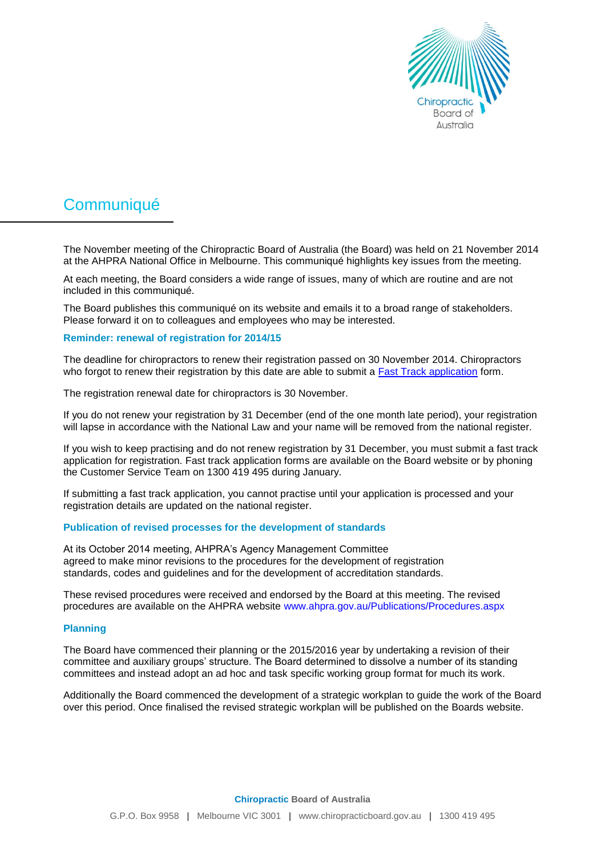

# **Communiqué**

The November meeting of the Chiropractic Board of Australia (the Board) was held on 21 November 2014 at the AHPRA National Office in Melbourne. This communiqué highlights key issues from the meeting.

At each meeting, the Board considers a wide range of issues, many of which are routine and are not included in this communiqué.

The Board publishes this communiqué on its website and emails it to a broad range of stakeholders. Please forward it on to colleagues and employees who may be interested.

### **Reminder: renewal of registration for 2014/15**

The deadline for chiropractors to renew their registration passed on 30 November 2014. Chiropractors who forgot to renew their registration by this date are able to submit a **Fast Track application** form.

The registration renewal date for chiropractors is 30 November.

If you do not renew your registration by 31 December (end of the one month late period), your registration will lapse in accordance with the National Law and your name will be removed from the national register.

If you wish to keep practising and do not renew registration by 31 December, you must submit a fast track application for registration. Fast track application forms are available on the Board website or by phoning the Customer Service Team on 1300 419 495 during January.

If submitting a fast track application, you cannot practise until your application is processed and your registration details are updated on the national register.

#### **Publication of revised processes for the development of standards**

At its October 2014 meeting, AHPRA's Agency Management Committee agreed to make minor revisions to the procedures for the development of registration standards, codes and guidelines and for the development of accreditation standards.

These revised procedures were received and endorsed by the Board at this meeting. The revised procedures are available on the AHPRA website www.ahpra.gov.au/Publications/Procedures.aspx

### **Planning**

The Board have commenced their planning or the 2015/2016 year by undertaking a revision of their committee and auxiliary groups' structure. The Board determined to dissolve a number of its standing committees and instead adopt an ad hoc and task specific working group format for much its work.

Additionally the Board commenced the development of a strategic workplan to guide the work of the Board over this period. Once finalised the revised strategic workplan will be published on the Boards website.